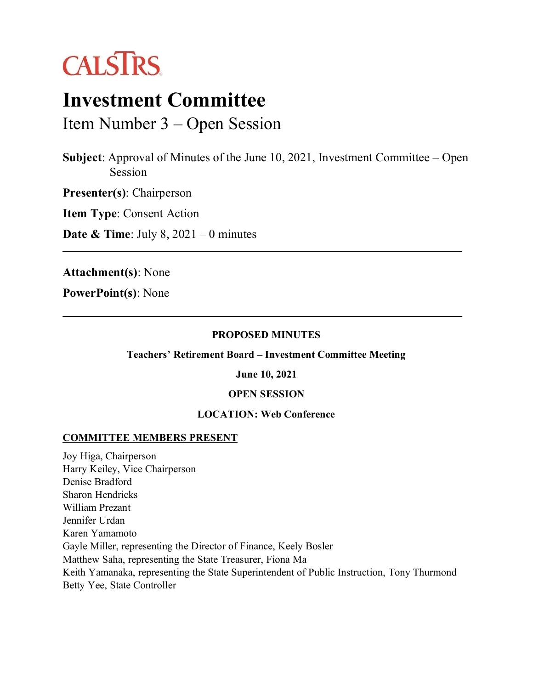

# **Investment Committee**

Item Number 3 – Open Session

**Subject**: Approval of Minutes of the June 10, 2021, Investment Committee – Open Session

**Presenter(s)**: Chairperson

**Item Type**: Consent Action

**Date & Time**: July 8, 2021 – 0 minutes

**Attachment(s)**: None

**PowerPoint(s)**: None

#### **PROPOSED MINUTES**

**Teachers' Retirement Board – Investment Committee Meeting**

#### **June 10, 2021**

#### **OPEN SESSION**

#### **LOCATION: Web Conference**

#### **COMMITTEE MEMBERS PRESENT**

Joy Higa, Chairperson Harry Keiley, Vice Chairperson Denise Bradford Sharon Hendricks William Prezant Jennifer Urdan Karen Yamamoto Gayle Miller, representing the Director of Finance, Keely Bosler Matthew Saha, representing the State Treasurer, Fiona Ma Keith Yamanaka, representing the State Superintendent of Public Instruction, Tony Thurmond Betty Yee, State Controller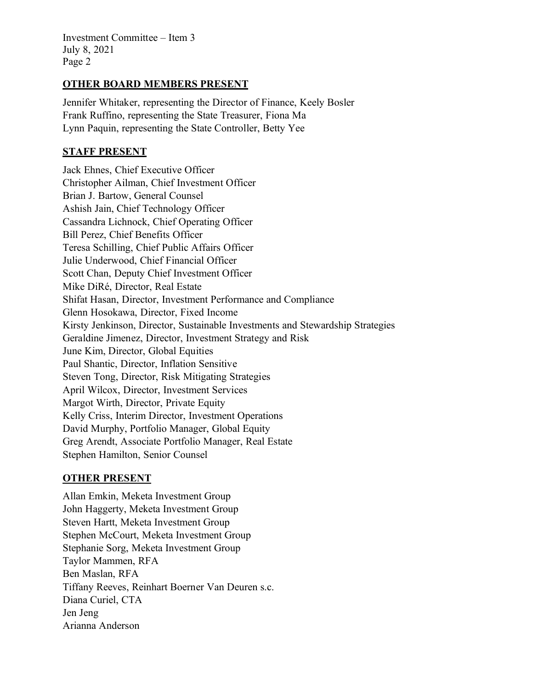Investment Committee – Item 3 July 8, 2021 Page 2

#### **OTHER BOARD MEMBERS PRESENT**

Jennifer Whitaker, representing the Director of Finance, Keely Bosler Frank Ruffino, representing the State Treasurer, Fiona Ma Lynn Paquin, representing the State Controller, Betty Yee

## **STAFF PRESENT**

Jack Ehnes, Chief Executive Officer Christopher Ailman, Chief Investment Officer Brian J. Bartow, General Counsel Ashish Jain, Chief Technology Officer Cassandra Lichnock, Chief Operating Officer Bill Perez, Chief Benefits Officer Teresa Schilling, Chief Public Affairs Officer Julie Underwood, Chief Financial Officer Scott Chan, Deputy Chief Investment Officer Mike DiRé, Director, Real Estate Shifat Hasan, Director, Investment Performance and Compliance Glenn Hosokawa, Director, Fixed Income Kirsty Jenkinson, Director, Sustainable Investments and Stewardship Strategies Geraldine Jimenez, Director, Investment Strategy and Risk June Kim, Director, Global Equities Paul Shantic, Director, Inflation Sensitive Steven Tong, Director, Risk Mitigating Strategies April Wilcox, Director, Investment Services Margot Wirth, Director, Private Equity Kelly Criss, Interim Director, Investment Operations David Murphy, Portfolio Manager, Global Equity Greg Arendt, Associate Portfolio Manager, Real Estate Stephen Hamilton, Senior Counsel

## **OTHER PRESENT**

Allan Emkin, Meketa Investment Group John Haggerty, Meketa Investment Group Steven Hartt, Meketa Investment Group Stephen McCourt, Meketa Investment Group Stephanie Sorg, Meketa Investment Group Taylor Mammen, RFA Ben Maslan, RFA Tiffany Reeves, Reinhart Boerner Van Deuren s.c. Diana Curiel, CTA Jen Jeng Arianna Anderson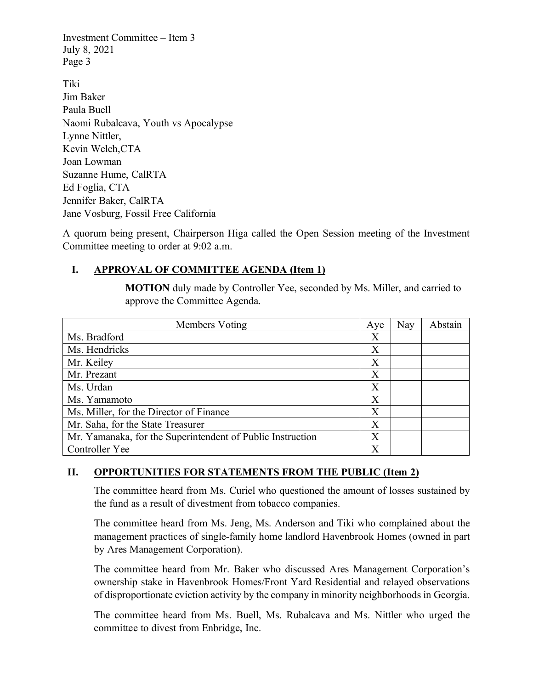Investment Committee – Item 3 July 8, 2021 Page 3

Tiki Jim Baker Paula Buell Naomi Rubalcava, Youth vs Apocalypse Lynne Nittler, Kevin Welch,CTA Joan Lowman Suzanne Hume, CalRTA Ed Foglia, CTA Jennifer Baker, CalRTA Jane Vosburg, Fossil Free California

A quorum being present, Chairperson Higa called the Open Session meeting of the Investment Committee meeting to order at 9:02 a.m.

# **I. APPROVAL OF COMMITTEE AGENDA (Item 1)**

**MOTION** duly made by Controller Yee, seconded by Ms. Miller, and carried to approve the Committee Agenda.

| Members Voting                                             | Aye | Nay | Abstain |
|------------------------------------------------------------|-----|-----|---------|
| Ms. Bradford                                               | Χ   |     |         |
| Ms. Hendricks                                              | Х   |     |         |
| Mr. Keiley                                                 | X   |     |         |
| Mr. Prezant                                                | X   |     |         |
| Ms. Urdan                                                  | X   |     |         |
| Ms. Yamamoto                                               | X   |     |         |
| Ms. Miller, for the Director of Finance                    | X   |     |         |
| Mr. Saha, for the State Treasurer                          | Х   |     |         |
| Mr. Yamanaka, for the Superintendent of Public Instruction | X   |     |         |
| Controller Yee                                             | X   |     |         |

## **II. OPPORTUNITIES FOR STATEMENTS FROM THE PUBLIC (Item 2)**

The committee heard from Ms. Curiel who questioned the amount of losses sustained by the fund as a result of divestment from tobacco companies.

The committee heard from Ms. Jeng, Ms. Anderson and Tiki who complained about the management practices of single-family home landlord Havenbrook Homes (owned in part by Ares Management Corporation).

The committee heard from Mr. Baker who discussed Ares Management Corporation's ownership stake in Havenbrook Homes/Front Yard Residential and relayed observations of disproportionate eviction activity by the company in minority neighborhoods in Georgia.

The committee heard from Ms. Buell, Ms. Rubalcava and Ms. Nittler who urged the committee to divest from Enbridge, Inc.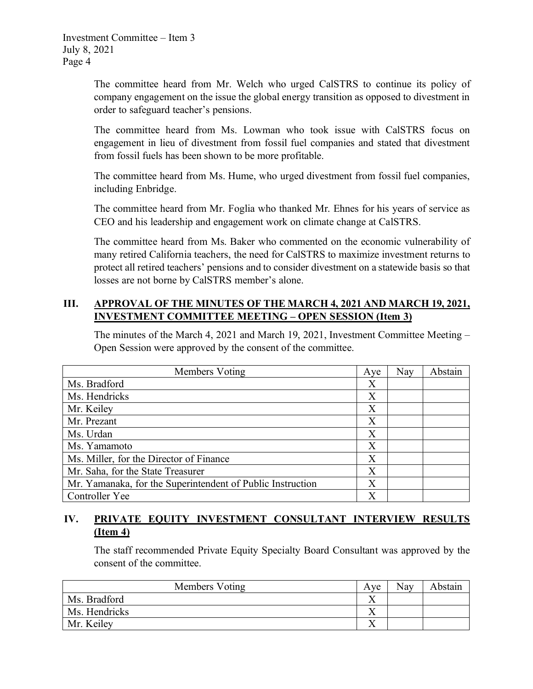The committee heard from Mr. Welch who urged CalSTRS to continue its policy of company engagement on the issue the global energy transition as opposed to divestment in order to safeguard teacher's pensions.

The committee heard from Ms. Lowman who took issue with CalSTRS focus on engagement in lieu of divestment from fossil fuel companies and stated that divestment from fossil fuels has been shown to be more profitable.

The committee heard from Ms. Hume, who urged divestment from fossil fuel companies, including Enbridge.

The committee heard from Mr. Foglia who thanked Mr. Ehnes for his years of service as CEO and his leadership and engagement work on climate change at CalSTRS.

The committee heard from Ms. Baker who commented on the economic vulnerability of many retired California teachers, the need for CalSTRS to maximize investment returns to protect all retired teachers' pensions and to consider divestment on a statewide basis so that losses are not borne by CalSTRS member's alone.

# **III. APPROVAL OF THE MINUTES OF THE MARCH 4, 2021 AND MARCH 19, 2021, INVESTMENT COMMITTEE MEETING – OPEN SESSION (Item 3)**

The minutes of the March 4, 2021 and March 19, 2021, Investment Committee Meeting – Open Session were approved by the consent of the committee.

| Members Voting                                             | Aye | Nay | Abstain |
|------------------------------------------------------------|-----|-----|---------|
| Ms. Bradford                                               | Χ   |     |         |
| Ms. Hendricks                                              | Χ   |     |         |
| Mr. Keiley                                                 | Χ   |     |         |
| Mr. Prezant                                                | Χ   |     |         |
| Ms. Urdan                                                  | X   |     |         |
| Ms. Yamamoto                                               | X   |     |         |
| Ms. Miller, for the Director of Finance                    | X   |     |         |
| Mr. Saha, for the State Treasurer                          | X   |     |         |
| Mr. Yamanaka, for the Superintendent of Public Instruction | X   |     |         |
| Controller Yee                                             | Х   |     |         |

# **IV. PRIVATE EQUITY INVESTMENT CONSULTANT INTERVIEW RESULTS (Item 4)**

The staff recommended Private Equity Specialty Board Consultant was approved by the consent of the committee.

| Members Voting | Ave | <b>Nay</b> | Abstain |
|----------------|-----|------------|---------|
| Ms. Bradford   |     |            |         |
| Ms. Hendricks  |     |            |         |
| Mr. Keiley     |     |            |         |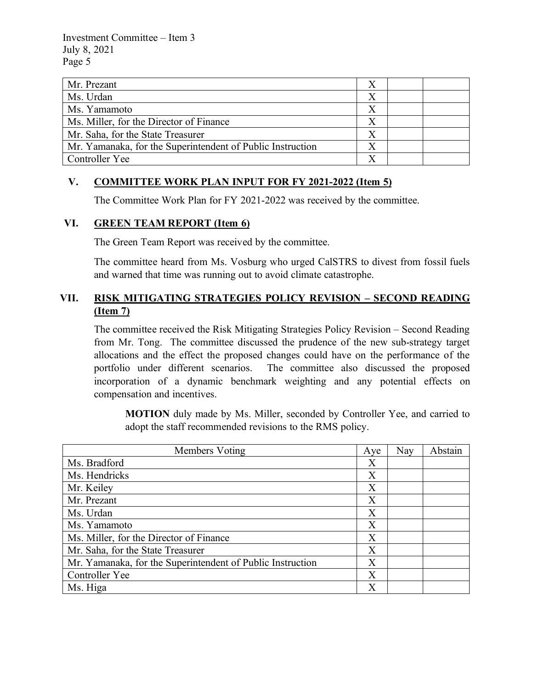Investment Committee – Item 3 July 8, 2021 Page 5

| Mr. Prezant                                                |  |  |
|------------------------------------------------------------|--|--|
| Ms. Urdan                                                  |  |  |
| Ms. Yamamoto                                               |  |  |
| Ms. Miller, for the Director of Finance                    |  |  |
| Mr. Saha, for the State Treasurer                          |  |  |
| Mr. Yamanaka, for the Superintendent of Public Instruction |  |  |
| Controller Yee                                             |  |  |

# **V. COMMITTEE WORK PLAN INPUT FOR FY 2021-2022 (Item 5)**

The Committee Work Plan for FY 2021-2022 was received by the committee.

#### **VI. GREEN TEAM REPORT (Item 6)**

The Green Team Report was received by the committee.

The committee heard from Ms. Vosburg who urged CalSTRS to divest from fossil fuels and warned that time was running out to avoid climate catastrophe.

# **VII. RISK MITIGATING STRATEGIES POLICY REVISION – SECOND READING (Item 7)**

The committee received the Risk Mitigating Strategies Policy Revision – Second Reading from Mr. Tong. The committee discussed the prudence of the new sub-strategy target allocations and the effect the proposed changes could have on the performance of the portfolio under different scenarios. The committee also discussed the proposed incorporation of a dynamic benchmark weighting and any potential effects on compensation and incentives.

**MOTION** duly made by Ms. Miller, seconded by Controller Yee, and carried to adopt the staff recommended revisions to the RMS policy.

| Members Voting                                             | Aye | Nay | Abstain |
|------------------------------------------------------------|-----|-----|---------|
| Ms. Bradford                                               | X   |     |         |
| Ms. Hendricks                                              | X   |     |         |
| Mr. Keiley                                                 | X   |     |         |
| Mr. Prezant                                                | X   |     |         |
| Ms. Urdan                                                  | Χ   |     |         |
| Ms. Yamamoto                                               | X   |     |         |
| Ms. Miller, for the Director of Finance                    | X   |     |         |
| Mr. Saha, for the State Treasurer                          | Χ   |     |         |
| Mr. Yamanaka, for the Superintendent of Public Instruction | X   |     |         |
| Controller Yee                                             | X   |     |         |
| Ms. Higa                                                   | X   |     |         |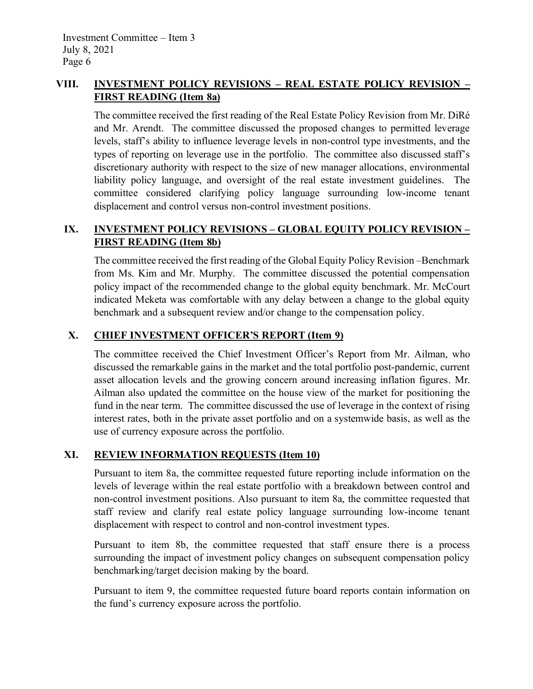# **VIII. INVESTMENT POLICY REVISIONS – REAL ESTATE POLICY REVISION – FIRST READING (Item 8a)**

The committee received the first reading of the Real Estate Policy Revision from Mr. DiRé and Mr. Arendt. The committee discussed the proposed changes to permitted leverage levels, staff's ability to influence leverage levels in non-control type investments, and the types of reporting on leverage use in the portfolio. The committee also discussed staff's discretionary authority with respect to the size of new manager allocations, environmental liability policy language, and oversight of the real estate investment guidelines. The committee considered clarifying policy language surrounding low-income tenant displacement and control versus non-control investment positions.

# **IX. INVESTMENT POLICY REVISIONS – GLOBAL EQUITY POLICY REVISION – FIRST READING (Item 8b)**

The committee received the first reading of the Global Equity Policy Revision –Benchmark from Ms. Kim and Mr. Murphy. The committee discussed the potential compensation policy impact of the recommended change to the global equity benchmark. Mr. McCourt indicated Meketa was comfortable with any delay between a change to the global equity benchmark and a subsequent review and/or change to the compensation policy.

# **X. CHIEF INVESTMENT OFFICER'S REPORT (Item 9)**

The committee received the Chief Investment Officer's Report from Mr. Ailman, who discussed the remarkable gains in the market and the total portfolio post-pandemic, current asset allocation levels and the growing concern around increasing inflation figures. Mr. Ailman also updated the committee on the house view of the market for positioning the fund in the near term. The committee discussed the use of leverage in the context of rising interest rates, both in the private asset portfolio and on a systemwide basis, as well as the use of currency exposure across the portfolio.

# **XI. REVIEW INFORMATION REQUESTS (Item 10)**

Pursuant to item 8a, the committee requested future reporting include information on the levels of leverage within the real estate portfolio with a breakdown between control and non-control investment positions. Also pursuant to item 8a, the committee requested that staff review and clarify real estate policy language surrounding low-income tenant displacement with respect to control and non-control investment types.

Pursuant to item 8b, the committee requested that staff ensure there is a process surrounding the impact of investment policy changes on subsequent compensation policy benchmarking/target decision making by the board.

Pursuant to item 9, the committee requested future board reports contain information on the fund's currency exposure across the portfolio.